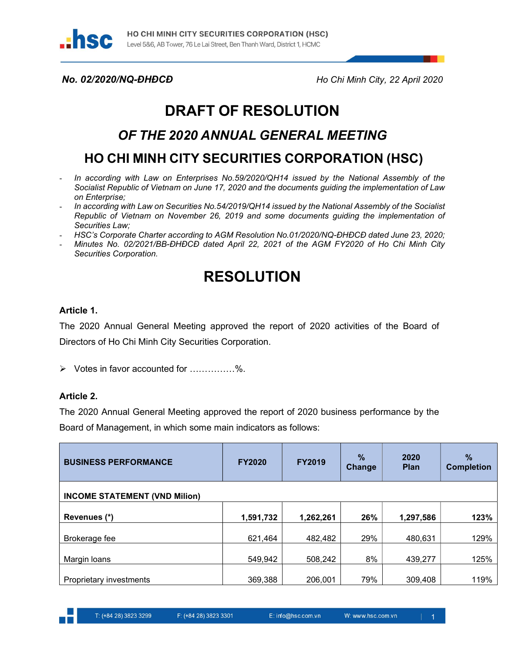

No. 02/2020/NQ-ĐHĐCĐ Ho Chi Minh City, 22 April 2020

# DRAFT OF RESOLUTION

## OF THE 2020 ANNUAL GENERAL MEETING

# HO CHI MINH CITY SECURITIES CORPORATION (HSC)

- In according with Law on Enterprises No.59/2020/QH14 issued by the National Assembly of the Socialist Republic of Vietnam on June 17, 2020 and the documents guiding the implementation of Law on Enterprise;
- In according with Law on Securities No.54/2019/QH14 issued by the National Assembly of the Socialist Republic of Vietnam on November 26, 2019 and some documents guiding the implementation of Securities Law;
- HSC's Corporate Charter according to AGM Resolution No.01/2020/NQ-ĐHĐCĐ dated June 23, 2020;
- Minutes No. 02/2021/BB-ĐHĐCĐ dated April 22, 2021 of the AGM FY2020 of Ho Chi Minh City Securities Corporation.

# RESOLUTION

#### Article 1.

The 2020 Annual General Meeting approved the report of 2020 activities of the Board of Directors of Ho Chi Minh City Securities Corporation.

Votes in favor accounted for ……………%.

#### Article 2.

The 2020 Annual General Meeting approved the report of 2020 business performance by the Board of Management, in which some main indicators as follows:

| <b>BUSINESS PERFORMANCE</b>          | <b>FY2020</b> | <b>FY2019</b> | $\frac{9}{6}$<br><b>Change</b> | 2020<br><b>Plan</b> | $\frac{9}{6}$<br><b>Completion</b> |  |  |  |  |
|--------------------------------------|---------------|---------------|--------------------------------|---------------------|------------------------------------|--|--|--|--|
| <b>INCOME STATEMENT (VND Milion)</b> |               |               |                                |                     |                                    |  |  |  |  |
| Revenues (*)                         | 1,591,732     | 1,262,261     | 26%                            | 1,297,586           | 123%                               |  |  |  |  |
| Brokerage fee                        | 621,464       | 482,482       | 29%                            | 480,631             | 129%                               |  |  |  |  |
| Margin Ioans                         | 549,942       | 508,242       | 8%                             | 439,277             | 125%                               |  |  |  |  |
| Proprietary investments              | 369,388       | 206,001       | 79%                            | 309,408             | 119%                               |  |  |  |  |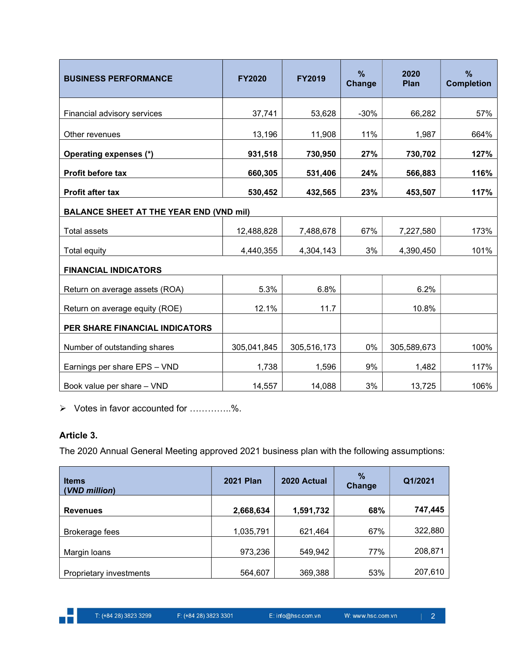| <b>BUSINESS PERFORMANCE</b>                    | <b>FY2020</b> | <b>FY2019</b> | $\frac{9}{6}$<br>Change | 2020<br>Plan | $\%$<br><b>Completion</b> |  |  |  |
|------------------------------------------------|---------------|---------------|-------------------------|--------------|---------------------------|--|--|--|
| Financial advisory services                    | 37,741        | 53,628        | $-30%$                  | 66,282       | 57%                       |  |  |  |
| Other revenues                                 | 13,196        | 11,908        | 11%                     | 1,987        | 664%                      |  |  |  |
| Operating expenses (*)                         | 931,518       | 730,950       | 27%                     | 730,702      | 127%                      |  |  |  |
| Profit before tax                              | 660,305       | 531,406       | 24%                     | 566,883      | 116%                      |  |  |  |
| <b>Profit after tax</b>                        | 530,452       | 432,565       | 23%                     | 453,507      | 117%                      |  |  |  |
| <b>BALANCE SHEET AT THE YEAR END (VND mil)</b> |               |               |                         |              |                           |  |  |  |
| <b>Total assets</b>                            | 12,488,828    | 7,488,678     | 67%                     | 7,227,580    | 173%                      |  |  |  |
| <b>Total equity</b>                            | 4,440,355     | 4,304,143     | 3%                      | 4,390,450    | 101%                      |  |  |  |
| <b>FINANCIAL INDICATORS</b>                    |               |               |                         |              |                           |  |  |  |
| Return on average assets (ROA)                 | 5.3%          | 6.8%          |                         | 6.2%         |                           |  |  |  |
| Return on average equity (ROE)                 | 12.1%         | 11.7          |                         | 10.8%        |                           |  |  |  |
| <b>PER SHARE FINANCIAL INDICATORS</b>          |               |               |                         |              |                           |  |  |  |
| Number of outstanding shares                   | 305,041,845   | 305,516,173   | 0%                      | 305,589,673  | 100%                      |  |  |  |
| Earnings per share EPS - VND                   | 1,738         | 1,596         | 9%                      | 1,482        | 117%                      |  |  |  |
| Book value per share - VND                     | 14,557        | 14,088        | 3%                      | 13,725       | 106%                      |  |  |  |

Votes in favor accounted for …………..%.

## Article 3.

The 2020 Annual General Meeting approved 2021 business plan with the following assumptions:

| <b>Items</b><br>(VND million) | <b>2021 Plan</b> | 2020 Actual | $\%$<br><b>Change</b> | Q1/2021 |
|-------------------------------|------------------|-------------|-----------------------|---------|
| <b>Revenues</b>               | 2,668,634        | 1,591,732   | 68%                   | 747,445 |
| Brokerage fees                | 1,035,791        | 621,464     | 67%                   | 322,880 |
| Margin Ioans                  | 973,236          | 549,942     | 77%                   | 208,871 |
| Proprietary investments       | 564,607          | 369,388     | 53%                   | 207,610 |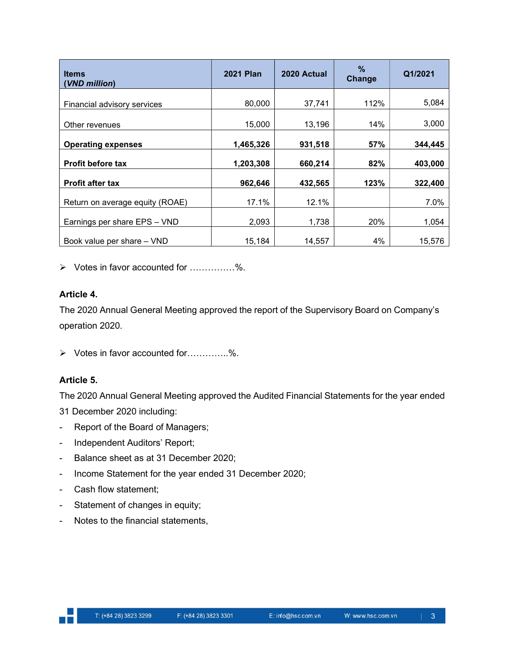| <b>Items</b><br><b>VND million)</b> | <b>2021 Plan</b> | 2020 Actual | $\%$<br>Change | Q1/2021 |
|-------------------------------------|------------------|-------------|----------------|---------|
| Financial advisory services         | 80,000           | 37,741      | 112%           | 5,084   |
| Other revenues                      | 15,000           | 13,196      | 14%            | 3,000   |
| <b>Operating expenses</b>           | 1,465,326        | 931,518     | 57%            | 344,445 |
| <b>Profit before tax</b>            | 1,203,308        | 660,214     | 82%            | 403,000 |
| <b>Profit after tax</b>             | 962,646          | 432,565     | 123%           | 322,400 |
| Return on average equity (ROAE)     | 17.1%            | 12.1%       |                | 7.0%    |
| Earnings per share EPS - VND        | 2,093            | 1,738       | 20%            | 1,054   |
| Book value per share - VND          | 15.184           | 14.557      | 4%             | 15,576  |

Votes in favor accounted for ……………%.

#### Article 4.

The 2020 Annual General Meeting approved the report of the Supervisory Board on Company's operation 2020.

Votes in favor accounted for…………..%.

## Article 5.

The 2020 Annual General Meeting approved the Audited Financial Statements for the year ended

31 December 2020 including:

- Report of the Board of Managers;
- Independent Auditors' Report;
- Balance sheet as at 31 December 2020;
- Income Statement for the year ended 31 December 2020;
- Cash flow statement;
- Statement of changes in equity;
- Notes to the financial statements,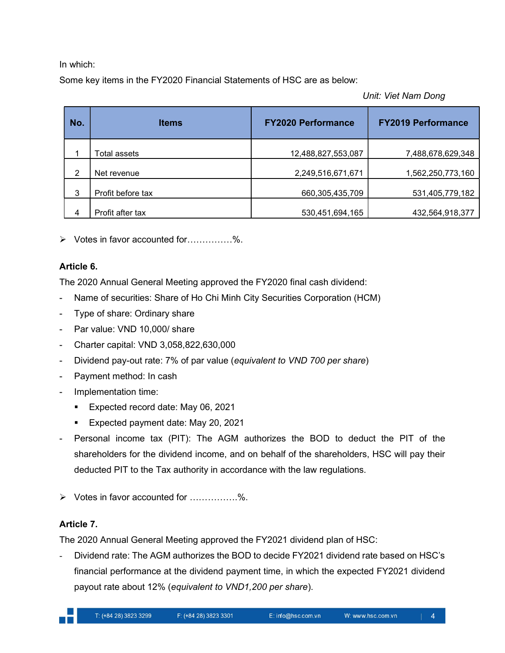In which:

Some key items in the FY2020 Financial Statements of HSC are as below:

Unit: Viet Nam Dong

| No. | <b>Items</b>      | <b>FY2020 Performance</b> | <b>FY2019 Performance</b> |
|-----|-------------------|---------------------------|---------------------------|
|     | Total assets      | 12,488,827,553,087        | 7,488,678,629,348         |
| 2   | Net revenue       | 2,249,516,671,671         | 1,562,250,773,160         |
| 3   | Profit before tax | 660,305,435,709           | 531,405,779,182           |
| 4   | Profit after tax  | 530,451,694,165           | 432,564,918,377           |

Votes in favor accounted for……………%.

#### Article 6.

The 2020 Annual General Meeting approved the FY2020 final cash dividend:

- Name of securities: Share of Ho Chi Minh City Securities Corporation (HCM)
- Type of share: Ordinary share
- Par value: VND 10,000/ share
- Charter capital: VND 3,058,822,630,000
- Dividend pay-out rate: 7% of par value (equivalent to VND 700 per share)
- Payment method: In cash
- Implementation time:
	- **Expected record date: May 06, 2021**
	- **Expected payment date: May 20, 2021**
- Personal income tax (PIT): The AGM authorizes the BOD to deduct the PIT of the shareholders for the dividend income, and on behalf of the shareholders, HSC will pay their deducted PIT to the Tax authority in accordance with the law regulations.
- Votes in favor accounted for …………….%.

## Article 7.

The 2020 Annual General Meeting approved the FY2021 dividend plan of HSC:

- Dividend rate: The AGM authorizes the BOD to decide FY2021 dividend rate based on HSC's financial performance at the dividend payment time, in which the expected FY2021 dividend payout rate about 12% (equivalent to VND1,200 per share).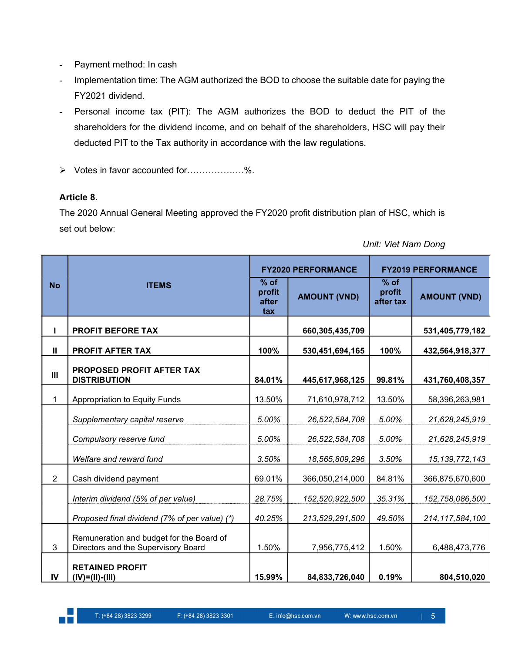- Payment method: In cash
- Implementation time: The AGM authorized the BOD to choose the suitable date for paying the FY2021 dividend.
- Personal income tax (PIT): The AGM authorizes the BOD to deduct the PIT of the shareholders for the dividend income, and on behalf of the shareholders, HSC will pay their deducted PIT to the Tax authority in accordance with the law regulations.
- Votes in favor accounted for……………….%.

#### Article 8.

The 2020 Annual General Meeting approved the FY2020 profit distribution plan of HSC, which is set out below:

|                | <b>ITEMS</b>                                                                    |                                  | <b>FY2020 PERFORMANCE</b> | <b>FY2019 PERFORMANCE</b>     |                     |
|----------------|---------------------------------------------------------------------------------|----------------------------------|---------------------------|-------------------------------|---------------------|
| <b>No</b>      |                                                                                 | $%$ of<br>profit<br>after<br>tax | <b>AMOUNT (VND)</b>       | $%$ of<br>profit<br>after tax | <b>AMOUNT (VND)</b> |
| ı              | <b>PROFIT BEFORE TAX</b>                                                        |                                  | 660,305,435,709           |                               | 531,405,779,182     |
| $\mathbf{II}$  | PROFIT AFTER TAX                                                                | 100%                             | 530,451,694,165           | 100%                          | 432,564,918,377     |
| III            | PROPOSED PROFIT AFTER TAX<br><b>DISTRIBUTION</b>                                | 84.01%                           | 445,617,968,125           | 99.81%                        | 431,760,408,357     |
| $\mathbf{1}$   | Appropriation to Equity Funds                                                   | 13.50%                           | 71,610,978,712            | 13.50%                        | 58,396,263,981      |
|                | Supplementary capital reserve                                                   | 5.00%                            | 26,522,584,708            | 5.00%                         | 21,628,245,919      |
|                | Compulsory reserve fund                                                         | 5.00%                            | 26,522,584,708            | 5.00%                         | 21,628,245,919      |
|                | Welfare and reward fund                                                         | 3.50%                            | 18,565,809,296            | 3.50%                         | 15, 139, 772, 143   |
| $\overline{2}$ | Cash dividend payment                                                           | 69.01%                           | 366,050,214,000           | 84.81%                        | 366,875,670,600     |
|                | Interim dividend (5% of per value)                                              | 28.75%                           | 152,520,922,500           | 35.31%                        | 152,758,086,500     |
|                | Proposed final dividend (7% of per value) (*)                                   | 40.25%                           | 213,529,291,500           | 49.50%                        | 214, 117, 584, 100  |
| 3              | Remuneration and budget for the Board of<br>Directors and the Supervisory Board | 1.50%                            | 7,956,775,412             | 1.50%                         | 6,488,473,776       |
| IV             | <b>RETAINED PROFIT</b><br>$(IV)=(II)-(III)$                                     | 15.99%                           | 84,833,726,040            | 0.19%                         | 804,510,020         |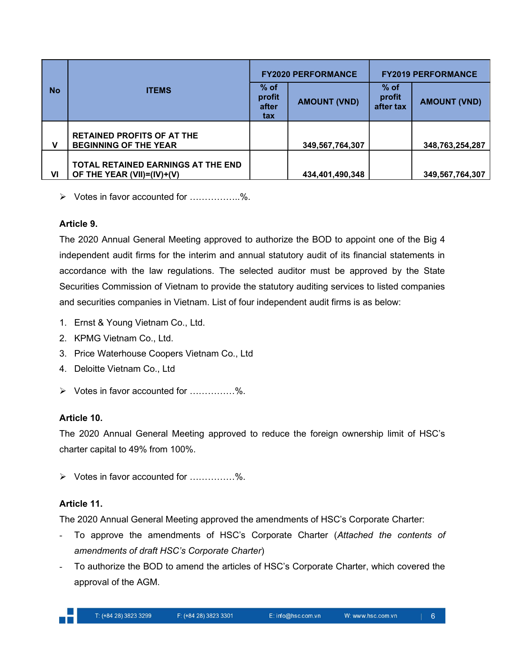|           |                                                                  |                                  | <b>FY2020 PERFORMANCE</b> | <b>FY2019 PERFORMANCE</b>     |                     |
|-----------|------------------------------------------------------------------|----------------------------------|---------------------------|-------------------------------|---------------------|
| <b>No</b> | <b>ITEMS</b>                                                     | $%$ of<br>profit<br>after<br>tax | <b>AMOUNT (VND)</b>       | $%$ of<br>profit<br>after tax | <b>AMOUNT (VND)</b> |
|           | <b>RETAINED PROFITS OF AT THE</b>                                |                                  |                           |                               |                     |
| v         | <b>BEGINNING OF THE YEAR</b>                                     |                                  | 349,567,764,307           |                               | 348,763,254,287     |
| VI        | TOTAL RETAINED EARNINGS AT THE END<br>OF THE YEAR (VII)=(IV)+(V) |                                  | 434,401,490,348           |                               | 349,567,764,307     |

Votes in favor accounted for ……………..%.

#### Article 9.

The 2020 Annual General Meeting approved to authorize the BOD to appoint one of the Big 4 independent audit firms for the interim and annual statutory audit of its financial statements in accordance with the law regulations. The selected auditor must be approved by the State Securities Commission of Vietnam to provide the statutory auditing services to listed companies and securities companies in Vietnam. List of four independent audit firms is as below:

- 1. Ernst & Young Vietnam Co., Ltd.
- 2. KPMG Vietnam Co., Ltd.
- 3. Price Waterhouse Coopers Vietnam Co., Ltd
- 4. Deloitte Vietnam Co., Ltd
- Votes in favor accounted for ……………%.

## Article 10.

The 2020 Annual General Meeting approved to reduce the foreign ownership limit of HSC's charter capital to 49% from 100%.

Votes in favor accounted for ……………%.

## Article 11.

The 2020 Annual General Meeting approved the amendments of HSC's Corporate Charter:

- To approve the amendments of HSC's Corporate Charter (Attached the contents of amendments of draft HSC's Corporate Charter)
- To authorize the BOD to amend the articles of HSC's Corporate Charter, which covered the approval of the AGM.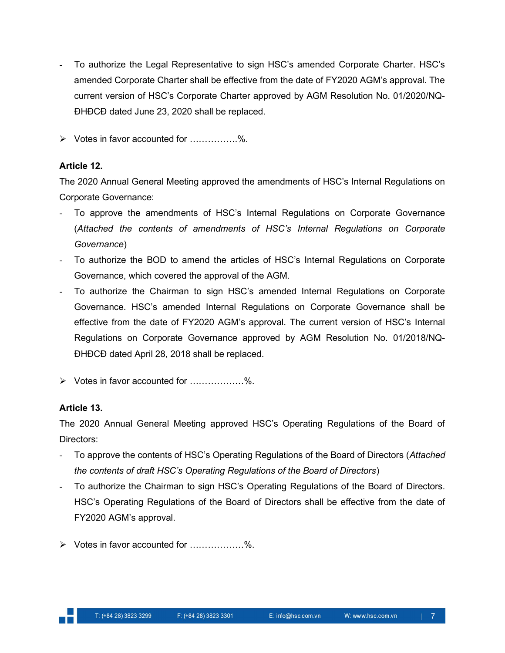- To authorize the Legal Representative to sign HSC's amended Corporate Charter. HSC's amended Corporate Charter shall be effective from the date of FY2020 AGM's approval. The current version of HSC's Corporate Charter approved by AGM Resolution No. 01/2020/NQ-ĐHĐCĐ dated June 23, 2020 shall be replaced.
- Votes in favor accounted for …………….%.

#### Article 12.

The 2020 Annual General Meeting approved the amendments of HSC's Internal Regulations on Corporate Governance:

- To approve the amendments of HSC's Internal Regulations on Corporate Governance (Attached the contents of amendments of HSC's Internal Regulations on Corporate Governance)
- To authorize the BOD to amend the articles of HSC's Internal Regulations on Corporate Governance, which covered the approval of the AGM.
- To authorize the Chairman to sign HSC's amended Internal Regulations on Corporate Governance. HSC's amended Internal Regulations on Corporate Governance shall be effective from the date of FY2020 AGM's approval. The current version of HSC's Internal Regulations on Corporate Governance approved by AGM Resolution No. 01/2018/NQ-ĐHĐCĐ dated April 28, 2018 shall be replaced.
- Votes in favor accounted for ………………%.

#### Article 13.

The 2020 Annual General Meeting approved HSC's Operating Regulations of the Board of Directors:

- To approve the contents of HSC's Operating Regulations of the Board of Directors (Attached the contents of draft HSC's Operating Regulations of the Board of Directors)
- To authorize the Chairman to sign HSC's Operating Regulations of the Board of Directors. HSC's Operating Regulations of the Board of Directors shall be effective from the date of FY2020 AGM's approval.
- Votes in favor accounted for ………………%.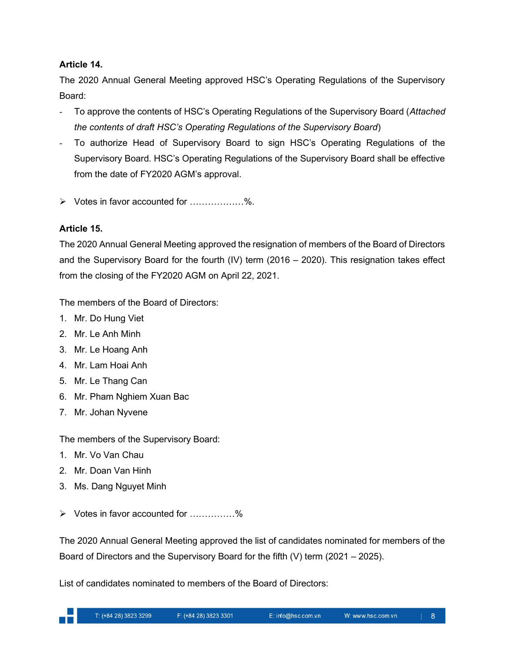#### Article 14.

The 2020 Annual General Meeting approved HSC's Operating Regulations of the Supervisory Board:

- To approve the contents of HSC's Operating Regulations of the Supervisory Board (Attached the contents of draft HSC's Operating Regulations of the Supervisory Board)
- To authorize Head of Supervisory Board to sign HSC's Operating Regulations of the Supervisory Board. HSC's Operating Regulations of the Supervisory Board shall be effective from the date of FY2020 AGM's approval.
- Votes in favor accounted for ………………%.

## Article 15.

The 2020 Annual General Meeting approved the resignation of members of the Board of Directors and the Supervisory Board for the fourth (IV) term (2016 – 2020). This resignation takes effect from the closing of the FY2020 AGM on April 22, 2021.

The members of the Board of Directors:

- 1. Mr. Do Hung Viet
- 2. Mr. Le Anh Minh
- 3. Mr. Le Hoang Anh
- 4. Mr. Lam Hoai Anh
- 5. Mr. Le Thang Can
- 6. Mr. Pham Nghiem Xuan Bac
- 7. Mr. Johan Nyvene

The members of the Supervisory Board:

- 1. Mr. Vo Van Chau
- 2. Mr. Doan Van Hinh
- 3. Ms. Dang Nguyet Minh
- Votes in favor accounted for ……………%

The 2020 Annual General Meeting approved the list of candidates nominated for members of the Board of Directors and the Supervisory Board for the fifth (V) term (2021 – 2025).

List of candidates nominated to members of the Board of Directors: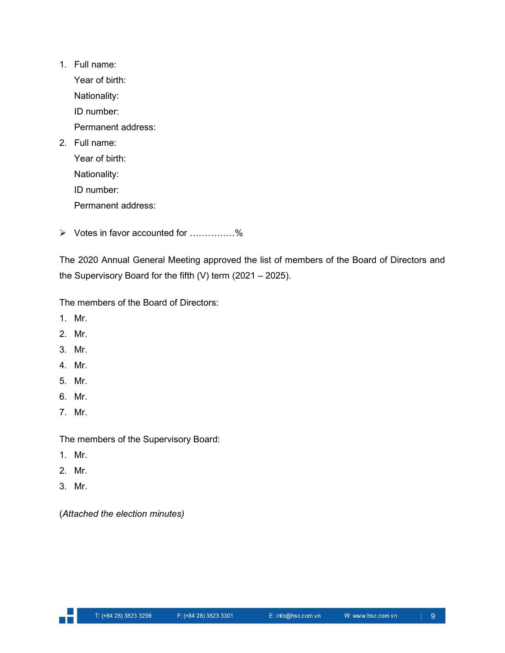1. Full name:

Year of birth:

Nationality:

ID number:

Permanent address:

2. Full name:

Year of birth: Nationality: ID number:

Permanent address:

Votes in favor accounted for ……………%

The 2020 Annual General Meeting approved the list of members of the Board of Directors and the Supervisory Board for the fifth (V) term (2021 – 2025).

The members of the Board of Directors:

- 1. Mr.
- 2. Mr.
- 3. Mr.
- 4. Mr.
- 5. Mr.
- 6. Mr.
- 7. Mr.

The members of the Supervisory Board:

- 1. Mr.
- 2. Mr.
- 3. Mr.

(Attached the election minutes)